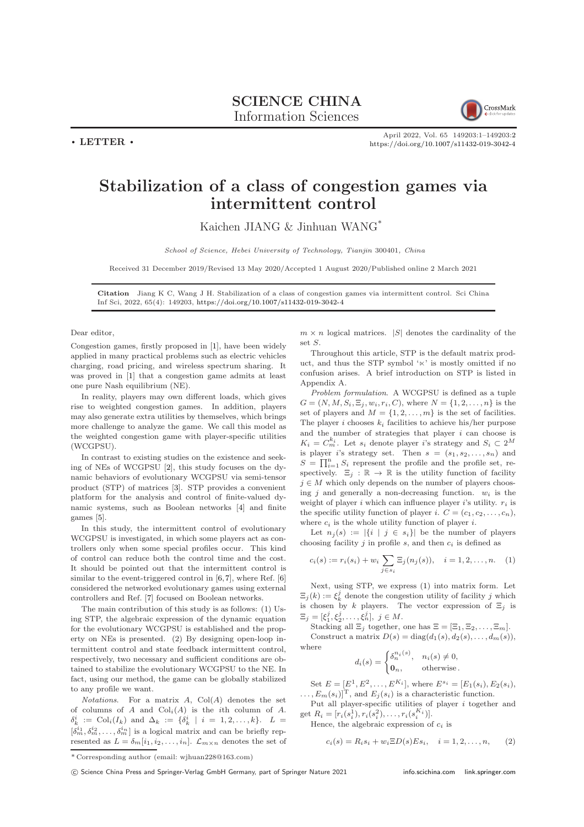## SCIENCE CHINA Information Sciences



 $\cdot$  LETTER  $\cdot$ 

April 2022, Vol. 65 149203:1–149203[:2](#page-1-0) <https://doi.org/10.1007/s11432-019-3042-4>

## Stabilization of a class of congestion games via intermittent control

Kaichen JIANG & Jinhuan WANG\*

School of Science, Hebei University of Technology, Tianjin 300401, China

Received 31 December 2019/Revised 13 May 2020/Accepted 1 August 2020/Published online 2 March 2021

Citation Jiang K C, Wang J H. Stabilization of a class of congestion games via intermittent control. Sci China Inf Sci, 2022, 65(4): 149203, <https://doi.org/10.1007/s11432-019-3042-4>

## Dear editor,

Congestion games, firstly proposed in [\[1\]](#page-1-1), have been widely applied in many practical problems such as electric vehicles charging, road pricing, and wireless spectrum sharing. It was proved in [\[1\]](#page-1-1) that a congestion game admits at least one pure Nash equilibrium (NE).

In reality, players may own different loads, which gives rise to weighted congestion games. In addition, players may also generate extra utilities by themselves, which brings more challenge to analyze the game. We call this model as the weighted congestion game with player-specific utilities (WCGPSU).

In contrast to existing studies on the existence and seeking of NEs of WCGPSU [\[2\]](#page-1-2), this study focuses on the dynamic behaviors of evolutionary WCGPSU via semi-tensor product (STP) of matrices [\[3\]](#page-1-3). STP provides a convenient platform for the analysis and control of finite-valued dynamic systems, such as Boolean networks [\[4\]](#page-1-4) and finite games [\[5\]](#page-1-5).

In this study, the intermittent control of evolutionary WCGPSU is investigated, in which some players act as controllers only when some special profiles occur. This kind of control can reduce both the control time and the cost. It should be pointed out that the intermittent control is similar to the event-triggered control in [\[6,](#page-1-6)[7\]](#page-1-7), where Ref. [\[6\]](#page-1-6) considered the networked evolutionary games using external controllers and Ref. [\[7\]](#page-1-7) focused on Boolean networks.

The main contribution of this study is as follows: (1) Using STP, the algebraic expression of the dynamic equation for the evolutionary WCGPSU is established and the property on NEs is presented. (2) By designing open-loop intermittent control and state feedback intermittent control, respectively, two necessary and sufficient conditions are obtained to stabilize the evolutionary WCGPSU to the NE. In fact, using our method, the game can be globally stabilized to any profile we want.

Notations. For a matrix  $A$ ,  $Col(A)$  denotes the set of columns of  $A$  and  $Col<sub>i</sub>(A)$  is the *i*th column of  $A$ .  $\delta_k^i := \text{Col}_i(I_k)$  and  $\Delta_k := \{\delta_k^i \mid i = 1, 2, \ldots, k\}$ .  $L =$  $[\delta_m^{i_1}, \delta_m^{i_2}, \ldots, \delta_m^{i_n}]$  is a logical matrix and can be briefly represented as  $L = \delta_m[i_1, i_2, \dots, i_n]$ .  $\mathcal{L}_{m \times n}$  denotes the set of  $m \times n$  logical matrices. |S| denotes the cardinality of the set S.

Throughout this article, STP is the default matrix product, and thus the STP symbol ' $\ltimes$ ' is mostly omitted if no confusion arises. A brief introduction on STP is listed in Appendix A.

Problem formulation. A WCGPSU is defined as a tuple  $G = (N, M, S_i, \Xi_i, w_i, r_i, C)$ , where  $N = \{1, 2, ..., n\}$  is the set of players and  $M = \{1, 2, \ldots, m\}$  is the set of facilities. The player i chooses  $k_i$  facilities to achieve his/her purpose and the number of strategies that player  $i$  can choose is  $K_i = C_m^{k_i}$ . Let  $s_i$  denote player i's strategy and  $S_i \subset 2^M$ is player i's strategy set. Then  $s = (s_1, s_2, \ldots, s_n)$  and  $S = \prod_{i=1}^{n} S_i$  represent the profile and the profile set, respectively.  $\Xi_j : \mathbb{R} \to \mathbb{R}$  is the utility function of facility  $j \in M$  which only depends on the number of players choosing j and generally a non-decreasing function.  $w_i$  is the weight of player i which can influence player i's utility.  $r_i$  is the specific utility function of player i.  $C = (c_1, c_2, \ldots, c_n)$ , where  $c_i$  is the whole utility function of player *i*.

Let  $n_i(s) := |\{i \mid j \in s_i\}|$  be the number of players choosing facility  $j$  in profile  $s$ , and then  $c_i$  is defined as

<span id="page-0-0"></span>
$$
c_i(s) := r_i(s_i) + w_i \sum_{j \in s_i} \Xi_j(n_j(s)), \quad i = 1, 2, ..., n. \quad (1)
$$

Next, using STP, we express [\(1\)](#page-0-0) into matrix form. Let  $\Xi_j(k):=\xi^j_k$  denote the congestion utility of facility  $j$  which is chosen by k players. The vector expression of  $\Xi_i$  is  $\Xi_j = [\xi_1^j, \xi_2^j, \dots, \xi_n^j], \ j \in M.$ 

Stacking all  $\Xi_j$  together, one has  $\Xi = [\Xi_1, \Xi_2, \ldots, \Xi_m]$ . Construct a matrix  $D(s) = \text{diag}(d_1(s), d_2(s), \ldots, d_m(s)),$ where

$$
d_i(s) = \begin{cases} \delta_n^{n_i(s)}, & n_i(s) \neq 0, \\ \mathbf{0}_n, & \text{otherwise.} \end{cases}
$$

Set  $E = [E^1, E^2, \dots, E^{K_i}]$ , where  $E^{s_i} = [E_1(s_i), E_2(s_i)]$ ,  $(E_m(s_i)|^T$ , and  $E_i(s_i)$  is a characteristic function.

Put all player-specific utilities of player i together and get  $R_i = [r_i(s_i^1), r_i(s_i^2), \dots, r_i(s_i^{K_i})].$ 

Hence, the algebraic expression of  $c_i$  is

$$
c_i(s) = R_i s_i + w_i \Xi D(s) E s_i, \quad i = 1, 2, ..., n,
$$
 (2)

<sup>\*</sup> Corresponding author (email: wjhuan228@163.com)

c Science China Press and Springer-Verlag GmbH Germany, part of Springer Nature 2021 <info.scichina.com><link.springer.com>